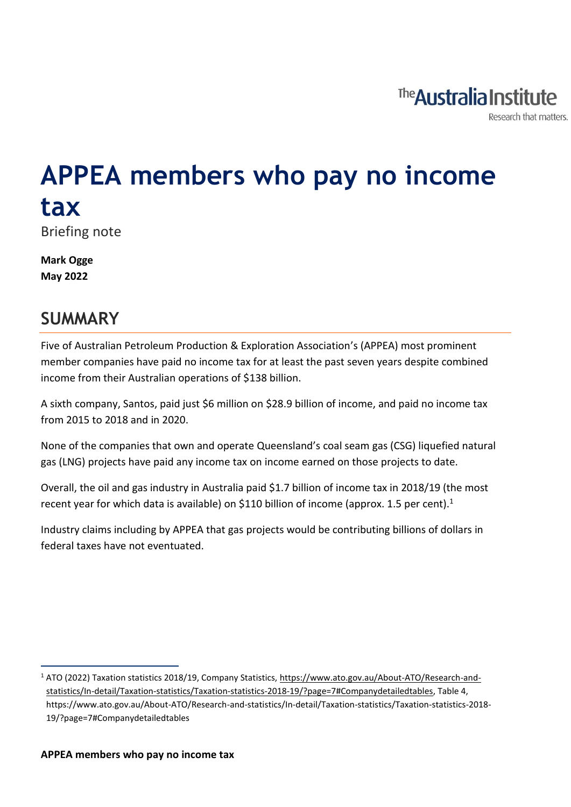

# **APPEA members who pay no income tax** Briefing note

**Mark Ogge May 2022**

# **SUMMARY**

Five of Australian Petroleum Production & Exploration Association's (APPEA) most prominent member companies have paid no income tax for at least the past seven years despite combined income from their Australian operations of \$138 billion.

A sixth company, Santos, paid just \$6 million on \$28.9 billion of income, and paid no income tax from 2015 to 2018 and in 2020.

None of the companies that own and operate Queensland's coal seam gas (CSG) liquefied natural gas (LNG) projects have paid any income tax on income earned on those projects to date.

Overall, the oil and gas industry in Australia paid \$1.7 billion of income tax in 2018/19 (the most recent year for which data is available) on \$110 billion of income (approx. 1.5 per cent).<sup>1</sup>

Industry claims including by APPEA that gas projects would be contributing billions of dollars in federal taxes have not eventuated.

<sup>1</sup> ATO (2022) Taxation statistics 2018/19, Company Statistics[, https://www.ato.gov.au/About-ATO/Research-and](https://www.ato.gov.au/About-ATO/Research-and-statistics/In-detail/Taxation-statistics/Taxation-statistics-2018-19/?page=7#Companydetailedtables)[statistics/In-detail/Taxation-statistics/Taxation-statistics-2018-19/?page=7#Companydetailedtables,](https://www.ato.gov.au/About-ATO/Research-and-statistics/In-detail/Taxation-statistics/Taxation-statistics-2018-19/?page=7#Companydetailedtables) Table 4, https://www.ato.gov.au/About-ATO/Research-and-statistics/In-detail/Taxation-statistics/Taxation-statistics-2018- 19/?page=7#Companydetailedtables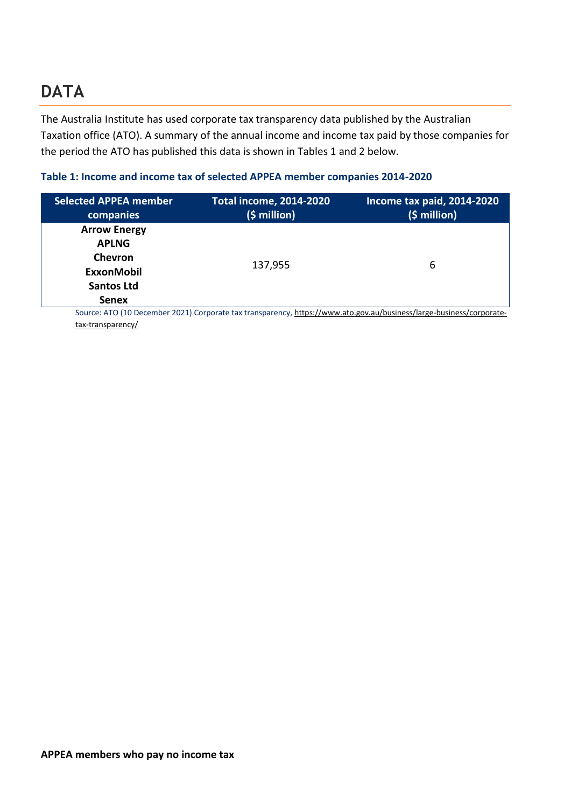# **DATA**

The Australia Institute has used corporate tax transparency data published by the Australian Taxation office (ATO). A summary of the annual income and income tax paid by those companies for the period the ATO has published this data is shown in Tables 1 and 2 below.

#### **Table 1: Income and income tax of selected APPEA member companies 2014-2020**

| <b>Selected APPEA member</b><br>companies | <b>Total income, 2014-2020</b><br>$(5 million)$ | Income tax paid, 2014-2020<br>$(5 million)$                                                                          |
|-------------------------------------------|-------------------------------------------------|----------------------------------------------------------------------------------------------------------------------|
|                                           |                                                 |                                                                                                                      |
| <b>Arrow Energy</b>                       |                                                 |                                                                                                                      |
| <b>APLNG</b>                              |                                                 |                                                                                                                      |
| <b>Chevron</b>                            | 137,955                                         | 6                                                                                                                    |
| <b>ExxonMobil</b>                         |                                                 |                                                                                                                      |
| <b>Santos Ltd</b>                         |                                                 |                                                                                                                      |
| <b>Senex</b>                              |                                                 |                                                                                                                      |
|                                           |                                                 | Source: ATO (10 December 2021) Corporate tax transparency, https://www.ato.gov.au/business/large-business/corporate- |

[tax-transparency/](https://www.ato.gov.au/business/large-business/corporate-tax-transparency/)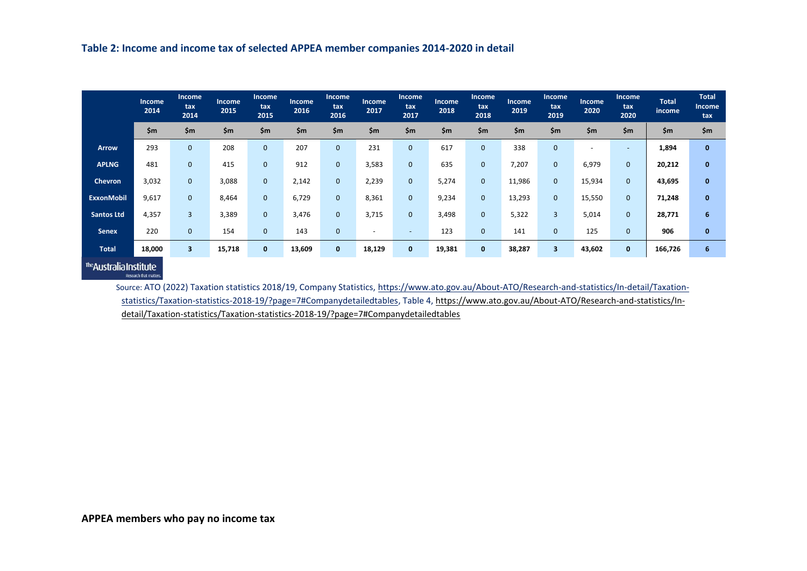|                   | <b>Income</b><br>2014 | <b>Income</b><br>tax<br>2014 | <b>Income</b><br>2015 | Income<br>tax<br>2015 | Income<br>2016 | <b>Income</b><br>tax<br>2016 | Income<br>2017           | Income<br>tax<br>2017    | Income<br>2018 | <b>Income</b><br>tax<br>2018 | <b>Income</b><br>2019 | <b>Income</b><br>tax<br>2019 | Income<br>2020 | <b>Income</b><br>tax<br>2020 | <b>Total</b><br>income | <b>Total</b><br>Income<br>tax |
|-------------------|-----------------------|------------------------------|-----------------------|-----------------------|----------------|------------------------------|--------------------------|--------------------------|----------------|------------------------------|-----------------------|------------------------------|----------------|------------------------------|------------------------|-------------------------------|
|                   | \$m                   | \$m\$                        | \$m\$                 | $\mathsf{Sm}$         | \$m\$          | \$m                          | \$m                      | \$m                      | \$m            | \$m                          | \$m\$                 | $\mathsf{Sm}$                | $\mathsf{S}$ m | $\mathsf{Sm}$                | \$m                    | \$m\$                         |
| <b>Arrow</b>      | 293                   | $\mathbf{0}$                 | 208                   | $\mathbf{0}$          | 207            | $\mathbf 0$                  | 231                      | $\mathbf{0}$             | 617            | $\mathbf 0$                  | 338                   | 0                            |                | $\overline{\phantom{a}}$     | 1,894                  | $\mathbf{0}$                  |
| <b>APLNG</b>      | 481                   | $\mathbf{0}$                 | 415                   | $\mathbf{0}$          | 912            | $\mathbf 0$                  | 3,583                    | $\mathbf{0}$             | 635            | $\mathbf 0$                  | 7,207                 | 0                            | 6,979          | 0                            | 20,212                 | $\mathbf{0}$                  |
| Chevron           | 3,032                 | $\mathbf{0}$                 | 3,088                 | $\mathbf{0}$          | 2,142          | $\mathbf{0}$                 | 2,239                    | $\mathbf{0}$             | 5,274          | $\mathbf{0}$                 | 11,986                | 0                            | 15,934         | $\mathbf 0$                  | 43,695                 | $\mathbf{0}$                  |
| <b>ExxonMobil</b> | 9,617                 | $\mathbf{0}$                 | 8,464                 | $\mathbf{0}$          | 6,729          | $\mathbf 0$                  | 8,361                    | $\mathbf{0}$             | 9,234          | $\mathbf 0$                  | 13,293                | 0                            | 15,550         | $\overline{0}$               | 71,248                 | $\mathbf{0}$                  |
| <b>Santos Ltd</b> | 4,357                 | 3                            | 3,389                 | $\mathbf{0}$          | 3,476          | $\mathbf{0}$                 | 3,715                    | $\mathbf{0}$             | 3,498          | $\mathbf{0}$                 | 5,322                 | 3                            | 5,014          | $\mathbf{0}$                 | 28,771                 | 6                             |
| <b>Senex</b>      | 220                   | $\mathbf{0}$                 | 154                   | $\mathbf{0}$          | 143            | $\mathbf 0$                  | $\overline{\phantom{a}}$ | $\overline{\phantom{a}}$ | 123            | $\mathbf 0$                  | 141                   | 0                            | 125            | 0                            | 906                    | $\mathbf{0}$                  |
| <b>Total</b>      | 18,000                | 3                            | 15,718                | $\mathbf{0}$          | 13,609         | $\mathbf{0}$                 | 18,129                   | $\mathbf{0}$             | 19,381         | $\mathbf{0}$                 | 38,287                | $\overline{\mathbf{3}}$      | 43,602         | $\mathbf 0$                  | 166,726                | 6                             |

The Australia Institute Research that matters.

> Source: ATO (2022) Taxation statistics 2018/19, Company Statistics, [https://www.ato.gov.au/About-ATO/Research-and-statistics/In-detail/Taxation](https://www.ato.gov.au/About-ATO/Research-and-statistics/In-detail/Taxation-statistics/Taxation-statistics-2018-19/?page=7#Companydetailedtables)[statistics/Taxation-statistics-2018-19/?page=7#Companydetailedtables,](https://www.ato.gov.au/About-ATO/Research-and-statistics/In-detail/Taxation-statistics/Taxation-statistics-2018-19/?page=7#Companydetailedtables) Table 4[, https://www.ato.gov.au/About-ATO/Research-and-statistics/In](https://www.ato.gov.au/About-ATO/Research-and-statistics/In-detail/Taxation-statistics/Taxation-statistics-2018-19/?page=7#Companydetailedtables)[detail/Taxation-statistics/Taxation-statistics-2018-19/?page=7#Companydetailedtables](https://www.ato.gov.au/About-ATO/Research-and-statistics/In-detail/Taxation-statistics/Taxation-statistics-2018-19/?page=7#Companydetailedtables)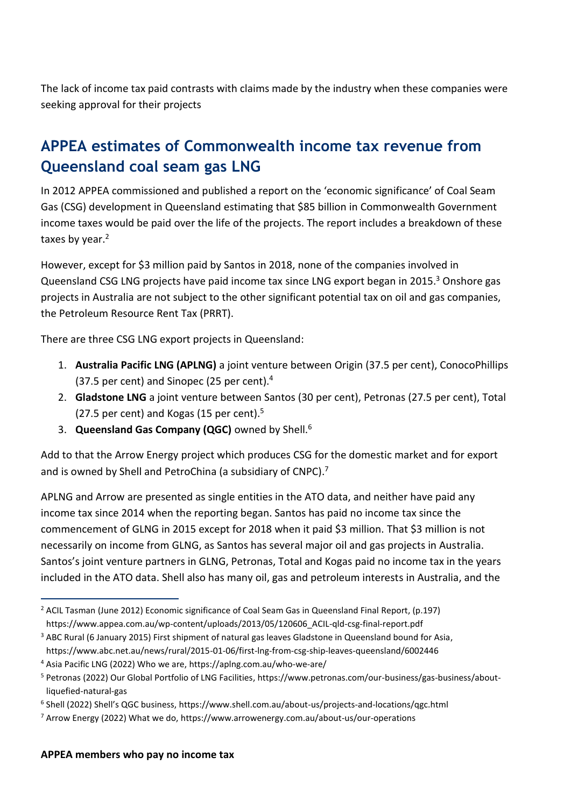The lack of income tax paid contrasts with claims made by the industry when these companies were seeking approval for their projects

### **APPEA estimates of Commonwealth income tax revenue from Queensland coal seam gas LNG**

In 2012 APPEA commissioned and published a report on the 'economic significance' of Coal Seam Gas (CSG) development in Queensland estimating that \$85 billion in Commonwealth Government income taxes would be paid over the life of the projects. The report includes a breakdown of these taxes by year.<sup>2</sup>

However, except for \$3 million paid by Santos in 2018, none of the companies involved in Queensland CSG LNG projects have paid income tax since LNG export began in 2015.<sup>3</sup> Onshore gas projects in Australia are not subject to the other significant potential tax on oil and gas companies, the Petroleum Resource Rent Tax (PRRT).

There are three CSG LNG export projects in Queensland:

- 1. **Australia Pacific LNG (APLNG)** a joint venture between Origin (37.5 per cent), ConocoPhillips (37.5 per cent) and Sinopec (25 per cent). $4$
- 2. **Gladstone LNG** a joint venture between Santos (30 per cent), Petronas (27.5 per cent), Total (27.5 per cent) and Kogas (15 per cent). $5$
- 3. **Queensland Gas Company (QGC)** owned by Shell.<sup>6</sup>

Add to that the Arrow Energy project which produces CSG for the domestic market and for export and is owned by Shell and PetroChina (a subsidiary of CNPC).<sup>7</sup>

APLNG and Arrow are presented as single entities in the ATO data, and neither have paid any income tax since 2014 when the reporting began. Santos has paid no income tax since the commencement of GLNG in 2015 except for 2018 when it paid \$3 million. That \$3 million is not necessarily on income from GLNG, as Santos has several major oil and gas projects in Australia. Santos's joint venture partners in GLNG, Petronas, Total and Kogas paid no income tax in the years included in the ATO data. Shell also has many oil, gas and petroleum interests in Australia, and the

<sup>&</sup>lt;sup>2</sup> ACIL Tasman (June 2012) Economic significance of Coal Seam Gas in Queensland Final Report, (p.197) https://www.appea.com.au/wp-content/uploads/2013/05/120606\_ACIL-qld-csg-final-report.pdf

<sup>&</sup>lt;sup>3</sup> ABC Rural (6 January 2015) First shipment of natural gas leaves Gladstone in Queensland bound for Asia,

https://www.abc.net.au/news/rural/2015-01-06/first-lng-from-csg-ship-leaves-queensland/6002446

<sup>4</sup> Asia Pacific LNG (2022) Who we are, https://aplng.com.au/who-we-are/

<sup>5</sup> Petronas (2022) Our Global Portfolio of LNG Facilities, https://www.petronas.com/our-business/gas-business/aboutliquefied-natural-gas

<sup>6</sup> Shell (2022) Shell's QGC business, https://www.shell.com.au/about-us/projects-and-locations/qgc.html

 $7$  Arrow Energy (2022) What we do, https://www.arrowenergy.com.au/about-us/our-operations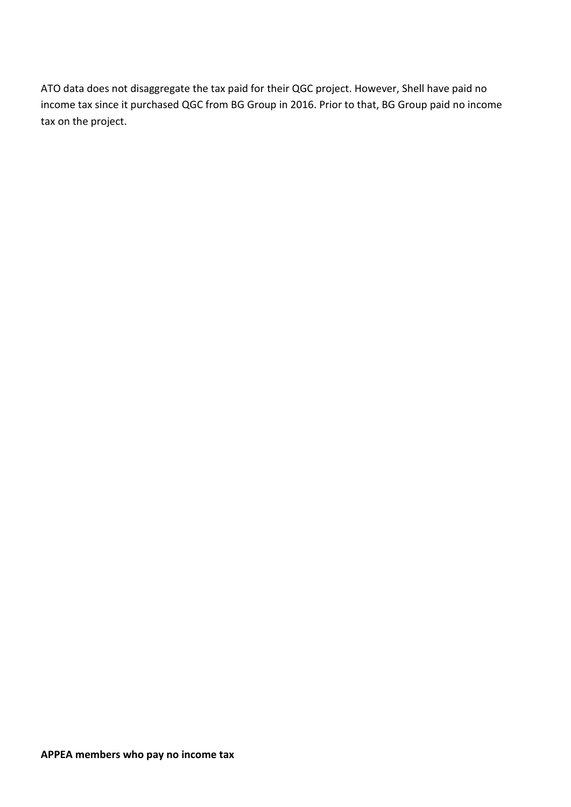ATO data does not disaggregate the tax paid for their QGC project. However, Shell have paid no income tax since it purchased QGC from BG Group in 2016. Prior to that, BG Group paid no income tax on the project.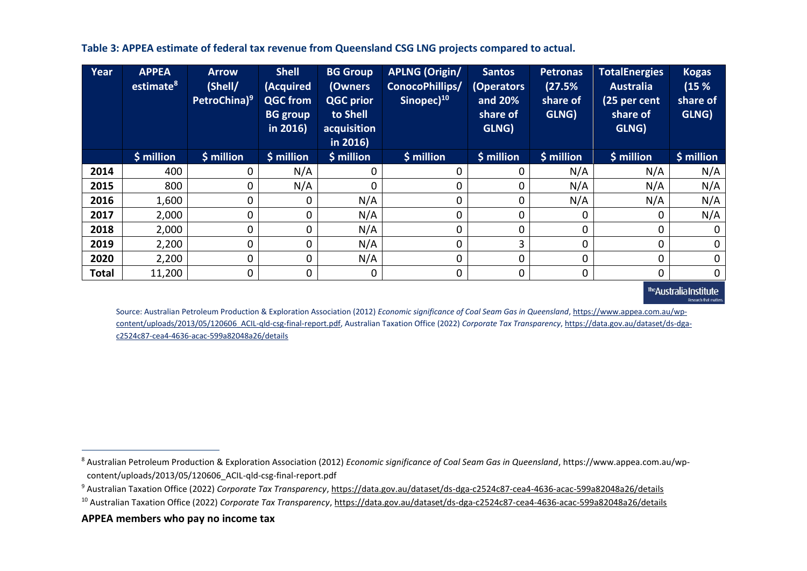**Table 3: APPEA estimate of federal tax revenue from Queensland CSG LNG projects compared to actual.**

| Year         | <b>APPEA</b><br>estimate <sup>8</sup> | <b>Arrow</b><br>(Shell/<br>PetroChina) <sup>9</sup> | <b>Shell</b><br>(Acquired<br><b>QGC from</b><br><b>BG</b> group<br>in 2016) | <b>BG Group</b><br>(Owners<br><b>QGC prior</b><br>to Shell<br>acquisition<br>in 2016) | <b>APLNG (Origin/</b><br>ConocoPhillips/<br>Sinopec) <sup>10</sup> | <b>Santos</b><br><b>Operators</b><br>and 20%<br>share of<br>GLNG) | <b>Petronas</b><br>(27.5%<br>share of<br>GLNG) | <b>TotalEnergies</b><br><b>Australia</b><br>(25 per cent<br>share of<br>GLNG) | <b>Kogas</b><br>(15%<br>share of<br>GLNG) |
|--------------|---------------------------------------|-----------------------------------------------------|-----------------------------------------------------------------------------|---------------------------------------------------------------------------------------|--------------------------------------------------------------------|-------------------------------------------------------------------|------------------------------------------------|-------------------------------------------------------------------------------|-------------------------------------------|
|              | \$ million                            | \$ million                                          | \$ million                                                                  | $$$ million                                                                           | \$ million                                                         | \$ million                                                        | $$$ million                                    | \$ million                                                                    | \$ million                                |
| 2014         | 400                                   | 0                                                   | N/A                                                                         | 0                                                                                     | 0                                                                  | 0                                                                 | N/A                                            | N/A                                                                           | N/A                                       |
| 2015         | 800                                   | 0                                                   | N/A                                                                         | 0                                                                                     | 0                                                                  | 0                                                                 | N/A                                            | N/A                                                                           | N/A                                       |
| 2016         | 1,600                                 | 0                                                   | 0                                                                           | N/A                                                                                   | 0                                                                  | 0                                                                 | N/A                                            | N/A                                                                           | N/A                                       |
| 2017         | 2,000                                 | 0                                                   | 0                                                                           | N/A                                                                                   | $\mathsf{O}$                                                       | 0                                                                 | 0                                              | 0                                                                             | N/A                                       |
| 2018         | 2,000                                 | 0                                                   | 0                                                                           | N/A                                                                                   | 0                                                                  | 0                                                                 | 0                                              | 0                                                                             | $\mathbf 0$                               |
| 2019         | 2,200                                 | 0                                                   | 0                                                                           | N/A                                                                                   | 0                                                                  | 3                                                                 | 0                                              | $\Omega$                                                                      | $\mathbf 0$                               |
| 2020         | 2,200                                 | 0                                                   | 0                                                                           | N/A                                                                                   | 0                                                                  | $\Omega$                                                          | 0                                              | $\Omega$                                                                      | $\mathbf 0$                               |
| <b>Total</b> | 11,200                                | 0                                                   | 0                                                                           | 0                                                                                     | 0                                                                  | 0                                                                 | 0                                              | 0                                                                             | $\mathbf 0$                               |

<sup>the</sup>Australia Institute **Research that matte** 

Source: Australian Petroleum Production & Exploration Association (2012) *Economic significance of Coal Seam Gas in Queensland*[, https://www.appea.com.au/wp](https://www.appea.com.au/wp-content/uploads/2013/05/120606_ACIL-qld-csg-final-report.pdf)[content/uploads/2013/05/120606\\_ACIL-qld-csg-final-report.pdf,](https://www.appea.com.au/wp-content/uploads/2013/05/120606_ACIL-qld-csg-final-report.pdf) Australian Taxation Office (2022) *Corporate Tax Transparency*[, https://data.gov.au/dataset/ds-dga](https://data.gov.au/dataset/ds-dga-c2524c87-cea4-4636-acac-599a82048a26/details)[c2524c87-cea4-4636-acac-599a82048a26/details](https://data.gov.au/dataset/ds-dga-c2524c87-cea4-4636-acac-599a82048a26/details)

<sup>8</sup> Australian Petroleum Production & Exploration Association (2012) *Economic significance of Coal Seam Gas in Queensland*, https://www.appea.com.au/wpcontent/uploads/2013/05/120606\_ACIL-qld-csg-final-report.pdf

<sup>9</sup> Australian Taxation Office (2022) *Corporate Tax Transparency*, <https://data.gov.au/dataset/ds-dga-c2524c87-cea4-4636-acac-599a82048a26/details>

<sup>10</sup> Australian Taxation Office (2022) *Corporate Tax Transparency*,<https://data.gov.au/dataset/ds-dga-c2524c87-cea4-4636-acac-599a82048a26/details>

**APPEA members who pay no income tax**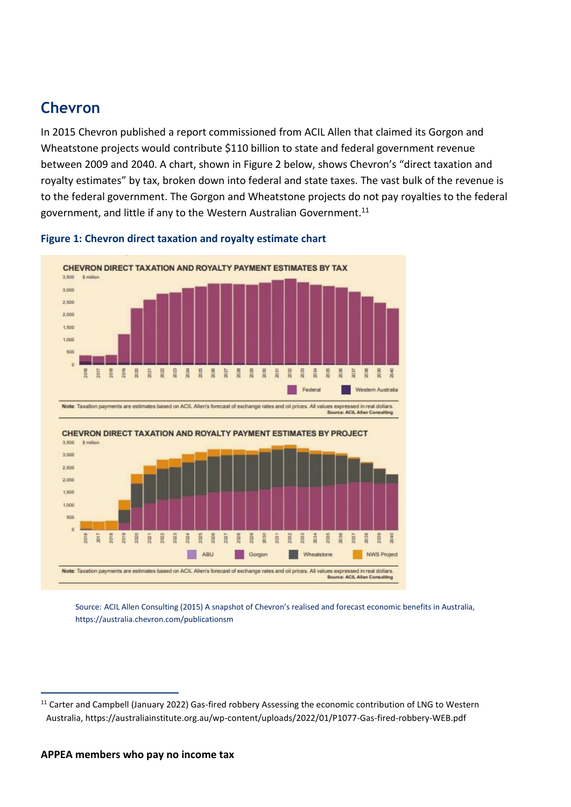### **Chevron**

In 2015 Chevron published a report commissioned from ACIL Allen that claimed its Gorgon and Wheatstone projects would contribute \$110 billion to state and federal government revenue between 2009 and 2040. A chart, shown in Figure 2 below, shows Chevron's "direct taxation and royalty estimates" by tax, broken down into federal and state taxes. The vast bulk of the revenue is to the federal government. The Gorgon and Wheatstone projects do not pay royalties to the federal government, and little if any to the Western Australian Government.<sup>11</sup>



#### **Figure 1: Chevron direct taxation and royalty estimate chart**

Source: ACIL Allen Consulting (2015) A snapshot of Chevron's realised and forecast economic benefits in Australia, https://australia.chevron.com/publicationsm

<sup>&</sup>lt;sup>11</sup> Carter and Campbell (January 2022) Gas-fired robbery Assessing the economic contribution of LNG to Western Australia, https://australiainstitute.org.au/wp-content/uploads/2022/01/P1077-Gas-fired-robbery-WEB.pdf